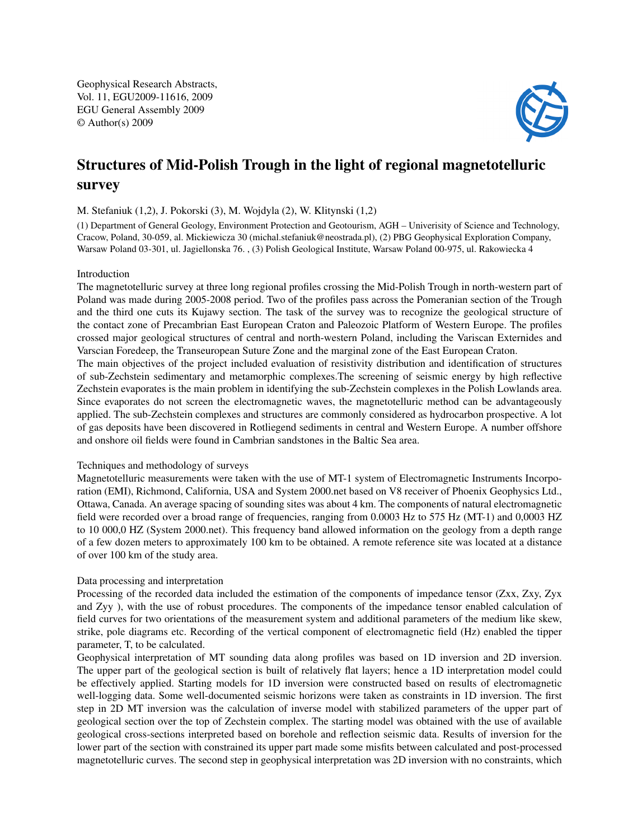Geophysical Research Abstracts, Vol. 11, EGU2009-11616, 2009 EGU General Assembly 2009 © Author(s) 2009



# Structures of Mid-Polish Trough in the light of regional magnetotelluric survey

M. Stefaniuk (1,2), J. Pokorski (3), M. Wojdyla (2), W. Klitynski (1,2)

(1) Department of General Geology, Environment Protection and Geotourism, AGH – Univerisity of Science and Technology, Cracow, Poland, 30-059, al. Mickiewicza 30 (michal.stefaniuk@neostrada.pl), (2) PBG Geophysical Exploration Company, Warsaw Poland 03-301, ul. Jagiellonska 76. , (3) Polish Geological Institute, Warsaw Poland 00-975, ul. Rakowiecka 4

## Introduction

The magnetotelluric survey at three long regional profiles crossing the Mid-Polish Trough in north-western part of Poland was made during 2005-2008 period. Two of the profiles pass across the Pomeranian section of the Trough and the third one cuts its Kujawy section. The task of the survey was to recognize the geological structure of the contact zone of Precambrian East European Craton and Paleozoic Platform of Western Europe. The profiles crossed major geological structures of central and north-western Poland, including the Variscan Externides and Varscian Foredeep, the Transeuropean Suture Zone and the marginal zone of the East European Craton.

The main objectives of the project included evaluation of resistivity distribution and identification of structures of sub-Zechstein sedimentary and metamorphic complexes.The screening of seismic energy by high reflective Zechstein evaporates is the main problem in identifying the sub-Zechstein complexes in the Polish Lowlands area. Since evaporates do not screen the electromagnetic waves, the magnetotelluric method can be advantageously applied. The sub-Zechstein complexes and structures are commonly considered as hydrocarbon prospective. A lot of gas deposits have been discovered in Rotliegend sediments in central and Western Europe. A number offshore and onshore oil fields were found in Cambrian sandstones in the Baltic Sea area.

## Techniques and methodology of surveys

Magnetotelluric measurements were taken with the use of MT-1 system of Electromagnetic Instruments Incorporation (EMI), Richmond, California, USA and System 2000.net based on V8 receiver of Phoenix Geophysics Ltd., Ottawa, Canada. An average spacing of sounding sites was about 4 km. The components of natural electromagnetic field were recorded over a broad range of frequencies, ranging from 0.0003 Hz to 575 Hz (MT-1) and 0,0003 HZ to 10 000,0 HZ (System 2000.net). This frequency band allowed information on the geology from a depth range of a few dozen meters to approximately 100 km to be obtained. A remote reference site was located at a distance of over 100 km of the study area.

## Data processing and interpretation

Processing of the recorded data included the estimation of the components of impedance tensor (Zxx, Zxy, Zyx and Zyy ), with the use of robust procedures. The components of the impedance tensor enabled calculation of field curves for two orientations of the measurement system and additional parameters of the medium like skew, strike, pole diagrams etc. Recording of the vertical component of electromagnetic field (Hz) enabled the tipper parameter, T, to be calculated.

Geophysical interpretation of MT sounding data along profiles was based on 1D inversion and 2D inversion. The upper part of the geological section is built of relatively flat layers; hence a 1D interpretation model could be effectively applied. Starting models for 1D inversion were constructed based on results of electromagnetic well-logging data. Some well-documented seismic horizons were taken as constraints in 1D inversion. The first step in 2D MT inversion was the calculation of inverse model with stabilized parameters of the upper part of geological section over the top of Zechstein complex. The starting model was obtained with the use of available geological cross-sections interpreted based on borehole and reflection seismic data. Results of inversion for the lower part of the section with constrained its upper part made some misfits between calculated and post-processed magnetotelluric curves. The second step in geophysical interpretation was 2D inversion with no constraints, which